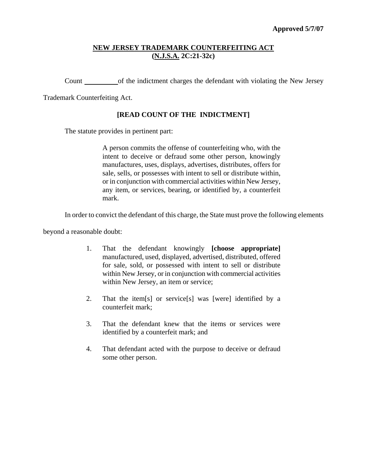# **NEW JERSEY TRADEMARK COUNTERFEITING ACT (N.J.S.A. 2C:21-32c)**

Count of the indictment charges the defendant with violating the New Jersey

Trademark Counterfeiting Act.

# **[READ COUNT OF THE INDICTMENT]**

The statute provides in pertinent part:

A person commits the offense of counterfeiting who, with the intent to deceive or defraud some other person, knowingly manufactures, uses, displays, advertises, distributes, offers for sale, sells, or possesses with intent to sell or distribute within, or in conjunction with commercial activities within New Jersey, any item, or services, bearing, or identified by, a counterfeit mark.

In order to convict the defendant of this charge, the State must prove the following elements

beyond a reasonable doubt:

- 1. That the defendant knowingly **[choose appropriate]** manufactured, used, displayed, advertised, distributed, offered for sale, sold, or possessed with intent to sell or distribute within New Jersey, or in conjunction with commercial activities within New Jersey, an item or service;
- 2. That the item[s] or service[s] was [were] identified by a counterfeit mark;
- 3. That the defendant knew that the items or services were identified by a counterfeit mark; and
- 4. That defendant acted with the purpose to deceive or defraud some other person.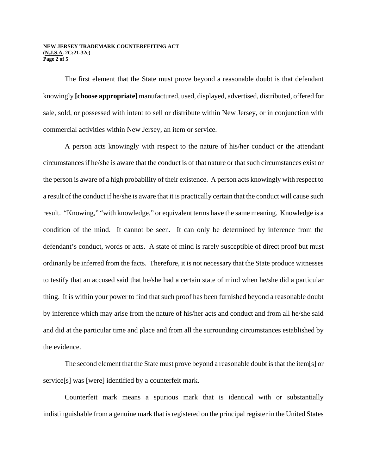#### **NEW JERSEY TRADEMARK COUNTERFEITING ACT (N.J.S.A. 2C:21-32c) Page 2 of 5**

The first element that the State must prove beyond a reasonable doubt is that defendant knowingly **[choose appropriate]** manufactured, used, displayed, advertised, distributed, offered for sale, sold, or possessed with intent to sell or distribute within New Jersey, or in conjunction with commercial activities within New Jersey, an item or service.

A person acts knowingly with respect to the nature of his/her conduct or the attendant circumstances if he/she is aware that the conduct is of that nature or that such circumstances exist or the person is aware of a high probability of their existence. A person acts knowingly with respect to a result of the conduct if he/she is aware that it is practically certain that the conduct will cause such result. "Knowing," "with knowledge," or equivalent terms have the same meaning. Knowledge is a condition of the mind. It cannot be seen. It can only be determined by inference from the defendant's conduct, words or acts. A state of mind is rarely susceptible of direct proof but must ordinarily be inferred from the facts. Therefore, it is not necessary that the State produce witnesses to testify that an accused said that he/she had a certain state of mind when he/she did a particular thing. It is within your power to find that such proof has been furnished beyond a reasonable doubt by inference which may arise from the nature of his/her acts and conduct and from all he/she said and did at the particular time and place and from all the surrounding circumstances established by the evidence.

The second element that the State must prove beyond a reasonable doubt is that the item[s] or service[s] was [were] identified by a counterfeit mark.

Counterfeit mark means a spurious mark that is identical with or substantially indistinguishable from a genuine mark that is registered on the principal register in the United States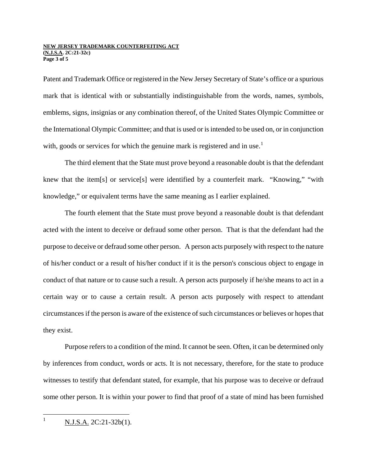#### **NEW JERSEY TRADEMARK COUNTERFEITING ACT (N.J.S.A. 2C:21-32c) Page 3 of 5**

Patent and Trademark Office or registered in the New Jersey Secretary of State's office or a spurious mark that is identical with or substantially indistinguishable from the words, names, symbols, emblems, signs, insignias or any combination thereof, of the United States Olympic Committee or the International Olympic Committee; and that is used or is intended to be used on, or in conjunction with, goods or services for which the genuine mark is registered and in use.<sup>[1](#page-2-0)</sup>

The third element that the State must prove beyond a reasonable doubt is that the defendant knew that the item[s] or service[s] were identified by a counterfeit mark. "Knowing," "with knowledge," or equivalent terms have the same meaning as I earlier explained.

The fourth element that the State must prove beyond a reasonable doubt is that defendant acted with the intent to deceive or defraud some other person. That is that the defendant had the purpose to deceive or defraud some other person. A person acts purposely with respect to the nature of his/her conduct or a result of his/her conduct if it is the person's conscious object to engage in conduct of that nature or to cause such a result. A person acts purposely if he/she means to act in a certain way or to cause a certain result. A person acts purposely with respect to attendant circumstances if the person is aware of the existence of such circumstances or believes or hopes that they exist.

Purpose refers to a condition of the mind. It cannot be seen. Often, it can be determined only by inferences from conduct, words or acts. It is not necessary, therefore, for the state to produce witnesses to testify that defendant stated, for example, that his purpose was to deceive or defraud some other person. It is within your power to find that proof of a state of mind has been furnished

<span id="page-2-0"></span> $\mathbf{1}$ N.J.S.A. 2C:21-32b(1).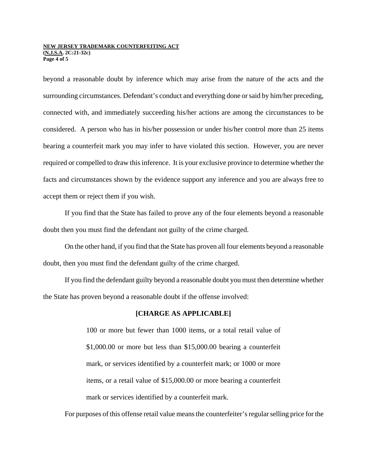### **NEW JERSEY TRADEMARK COUNTERFEITING ACT (N.J.S.A. 2C:21-32c) Page 4 of 5**

beyond a reasonable doubt by inference which may arise from the nature of the acts and the surrounding circumstances. Defendant's conduct and everything done or said by him/her preceding, connected with, and immediately succeeding his/her actions are among the circumstances to be considered. A person who has in his/her possession or under his/her control more than 25 items bearing a counterfeit mark you may infer to have violated this section. However, you are never required or compelled to draw this inference. It is your exclusive province to determine whether the facts and circumstances shown by the evidence support any inference and you are always free to accept them or reject them if you wish.

If you find that the State has failed to prove any of the four elements beyond a reasonable doubt then you must find the defendant not guilty of the crime charged.

On the other hand, if you find that the State has proven all four elements beyond a reasonable doubt, then you must find the defendant guilty of the crime charged.

If you find the defendant guilty beyond a reasonable doubt you must then determine whether the State has proven beyond a reasonable doubt if the offense involved:

## **[CHARGE AS APPLICABLE]**

100 or more but fewer than 1000 items, or a total retail value of \$1,000.00 or more but less than \$15,000.00 bearing a counterfeit mark, or services identified by a counterfeit mark; or 1000 or more items, or a retail value of \$15,000.00 or more bearing a counterfeit mark or services identified by a counterfeit mark.

For purposes of this offense retail value means the counterfeiter's regular selling price for the